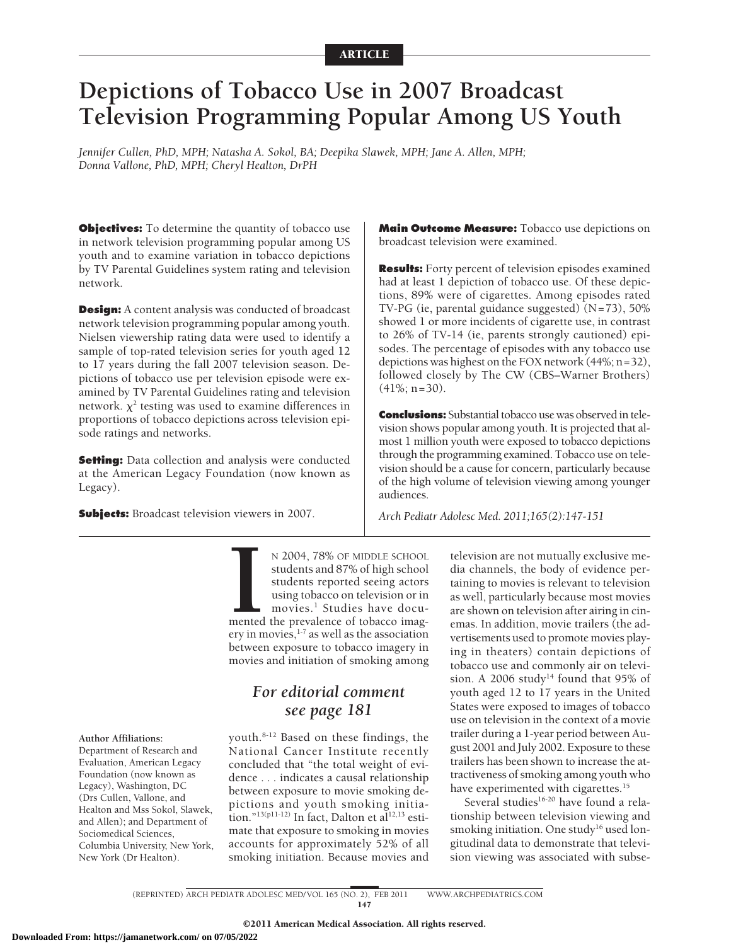# **Depictions of Tobacco Use in 2007 Broadcast Television Programming Popular Among US Youth**

*Jennifer Cullen, PhD, MPH; Natasha A. Sokol, BA; Deepika Slawek, MPH; Jane A. Allen, MPH; Donna Vallone, PhD, MPH; Cheryl Healton, DrPH*

**Objectives:** To determine the quantity of tobacco use in network television programming popular among US youth and to examine variation in tobacco depictions by TV Parental Guidelines system rating and television network.

**Design:** A content analysis was conducted of broadcast network television programming popular among youth. Nielsen viewership rating data were used to identify a sample of top-rated television series for youth aged 12 to 17 years during the fall 2007 television season. Depictions of tobacco use per television episode were examined by TV Parental Guidelines rating and television network.  $\chi^2$  testing was used to examine differences in proportions of tobacco depictions across television episode ratings and networks.

**Setting:** Data collection and analysis were conducted at the American Legacy Foundation (now known as Legacy).

**Subjects:** Broadcast television viewers in 2007.

**Main Outcome Measure:** Tobacco use depictions on broadcast television were examined.

**Results:** Forty percent of television episodes examined had at least 1 depiction of tobacco use. Of these depictions, 89% were of cigarettes. Among episodes rated TV-PG (ie, parental guidance suggested) (N=73), 50% showed 1 or more incidents of cigarette use, in contrast to 26% of TV-14 (ie, parents strongly cautioned) episodes. The percentage of episodes with any tobacco use depictions was highest on the FOX network (44%; n=32), followed closely by The CW (CBS–Warner Brothers)  $(41\%; n=30)$ .

**Conclusions:** Substantial tobacco use was observed in television shows popular among youth. It is projected that almost 1 million youth were exposed to tobacco depictions through the programming examined. Tobacco use on television should be a cause for concern, particularly because of the high volume of television viewing among younger audiences.

*Arch Pediatr Adolesc Med. 2011;165(2):147-151*

N 2004, 78% OF MIDDLE SCHOOL students and 87% of high school students reported seeing actors using tobacco on television or in movies.<sup>1</sup> Studies have documented the prevalence of tobacco imagery in movies,<sup>1-7</sup> as well as N 2004, 78% OF MIDDLE SCHOOL students and 87% of high school students reported seeing actors using tobacco on television or in movies.<sup>1</sup> Studies have documented the prevalence of tobacco imagbetween exposure to tobacco imagery in movies and initiation of smoking among

# *For editorial comment see page 181*

youth.8-12 Based on these findings, the National Cancer Institute recently concluded that "the total weight of evidence . . . indicates a causal relationship between exposure to movie smoking depictions and youth smoking initiation."<sup>13(p11-12)</sup> In fact, Dalton et al<sup>12,13</sup> estimate that exposure to smoking in movies accounts for approximately 52% of all smoking initiation. Because movies and television are not mutually exclusive media channels, the body of evidence pertaining to movies is relevant to television as well, particularly because most movies are shown on television after airing in cinemas. In addition, movie trailers (the advertisements used to promote movies playing in theaters) contain depictions of tobacco use and commonly air on television. A 2006 study<sup>14</sup> found that 95% of youth aged 12 to 17 years in the United States were exposed to images of tobacco use on television in the context of a movie trailer during a 1-year period between August 2001 and July 2002. Exposure to these trailers has been shown to increase the attractiveness of smoking among youth who have experimented with cigarettes.<sup>15</sup>

Several studies<sup>16-20</sup> have found a relationship between television viewing and smoking initiation. One study<sup>16</sup> used longitudinal data to demonstrate that television viewing was associated with subse-

# **Author Affiliations:**

Department of Research and Evaluation, American Legacy Foundation (now known as Legacy), Washington, DC (Drs Cullen, Vallone, and Healton and Mss Sokol, Slawek, and Allen); and Department of Sociomedical Sciences, Columbia University, New York, New York (Dr Healton).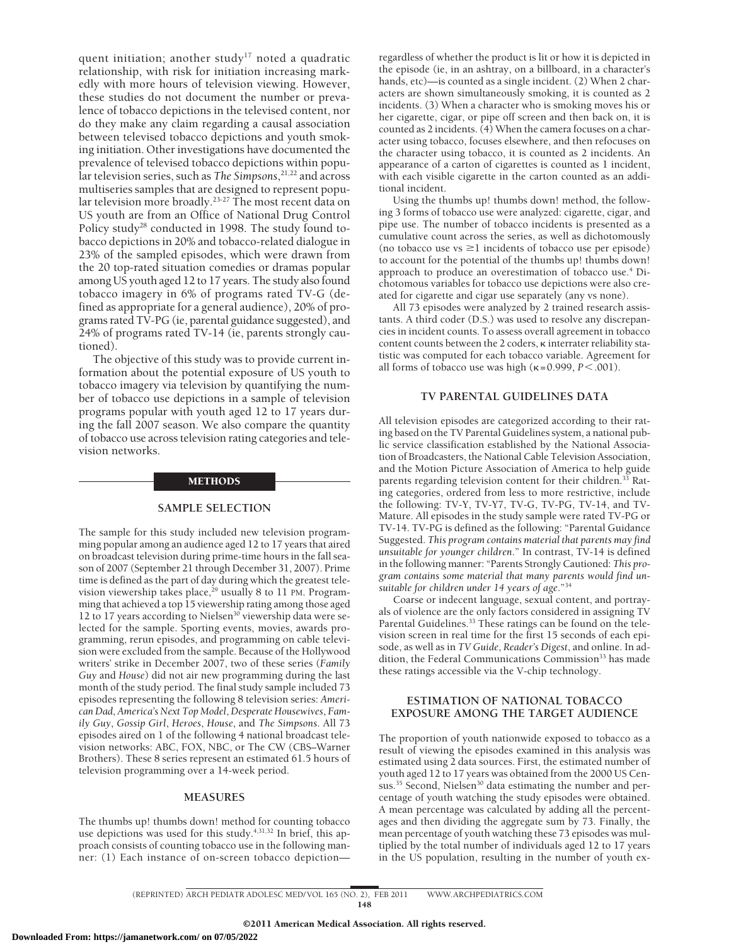quent initiation; another study<sup>17</sup> noted a quadratic relationship, with risk for initiation increasing markedly with more hours of television viewing. However, these studies do not document the number or prevalence of tobacco depictions in the televised content, nor do they make any claim regarding a causal association between televised tobacco depictions and youth smoking initiation. Other investigations have documented the prevalence of televised tobacco depictions within popular television series, such as *The Simpsons*, 21,22 and across multiseries samples that are designed to represent popular television more broadly.<sup>23-27</sup> The most recent data on US youth are from an Office of National Drug Control Policy study<sup>28</sup> conducted in 1998. The study found tobacco depictions in 20% and tobacco-related dialogue in 23% of the sampled episodes, which were drawn from the 20 top-rated situation comedies or dramas popular among US youth aged 12 to 17 years. The study also found tobacco imagery in 6% of programs rated TV-G (defined as appropriate for a general audience), 20% of programs rated TV-PG (ie, parental guidance suggested), and 24% of programs rated TV-14 (ie, parents strongly cautioned).

The objective of this study was to provide current information about the potential exposure of US youth to tobacco imagery via television by quantifying the number of tobacco use depictions in a sample of television programs popular with youth aged 12 to 17 years during the fall 2007 season. We also compare the quantity of tobacco use across television rating categories and television networks.

#### METHODS

#### **SAMPLE SELECTION**

The sample for this study included new television programming popular among an audience aged 12 to 17 years that aired on broadcast television during prime-time hours in the fall season of 2007 (September 21 through December 31, 2007). Prime time is defined as the part of day during which the greatest television viewership takes place,<sup>29</sup> usually 8 to 11 PM. Programming that achieved a top 15 viewership rating among those aged 12 to 17 years according to Nielsen30 viewership data were selected for the sample. Sporting events, movies, awards programming, rerun episodes, and programming on cable television were excluded from the sample. Because of the Hollywood writers' strike in December 2007, two of these series (*Family Guy* and *House*) did not air new programming during the last month of the study period. The final study sample included 73 episodes representing the following 8 television series: *American Dad*, *America's Next Top Model*, *Desperate Housewives*, *Family Guy*, *Gossip Girl*, *Heroes*, *House*, and *The Simpsons*. All 73 episodes aired on 1 of the following 4 national broadcast television networks: ABC, FOX, NBC, or The CW (CBS–Warner Brothers). These 8 series represent an estimated 61.5 hours of television programming over a 14-week period.

#### **MEASURES**

The thumbs up! thumbs down! method for counting tobacco use depictions was used for this study.<sup>4,31,32</sup> In brief, this approach consists of counting tobacco use in the following manner: (1) Each instance of on-screen tobacco depictionregardless of whether the product is lit or how it is depicted in the episode (ie, in an ashtray, on a billboard, in a character's hands, etc)—is counted as a single incident. (2) When 2 characters are shown simultaneously smoking, it is counted as 2 incidents. (3) When a character who is smoking moves his or her cigarette, cigar, or pipe off screen and then back on, it is counted as 2 incidents. (4) When the camera focuses on a character using tobacco, focuses elsewhere, and then refocuses on the character using tobacco, it is counted as 2 incidents. An appearance of a carton of cigarettes is counted as 1 incident, with each visible cigarette in the carton counted as an additional incident.

Using the thumbs up! thumbs down! method, the following 3 forms of tobacco use were analyzed: cigarette, cigar, and pipe use. The number of tobacco incidents is presented as a cumulative count across the series, as well as dichotomously (no tobacco use  $vs \geq 1$  incidents of tobacco use per episode) to account for the potential of the thumbs up! thumbs down! approach to produce an overestimation of tobacco use.4 Dichotomous variables for tobacco use depictions were also created for cigarette and cigar use separately (any vs none).

All 73 episodes were analyzed by 2 trained research assistants. A third coder (D.S.) was used to resolve any discrepancies in incident counts. To assess overall agreement in tobacco content counts between the 2 coders,  $\kappa$  interrater reliability statistic was computed for each tobacco variable. Agreement for all forms of tobacco use was high  $(\kappa=0.999, P<.001)$ .

#### **TV PARENTAL GUIDELINES DATA**

All television episodes are categorized according to their rating based on the TV Parental Guidelines system, a national public service classification established by the National Association of Broadcasters, the National Cable Television Association, and the Motion Picture Association of America to help guide parents regarding television content for their children.<sup>33</sup> Rating categories, ordered from less to more restrictive, include the following: TV-Y, TV-Y7, TV-G, TV-PG, TV-14, and TV-Mature. All episodes in the study sample were rated TV-PG or TV-14. TV-PG is defined as the following: "Parental Guidance Suggested. *This program contains material that parents may find unsuitable for younger children*." In contrast, TV-14 is defined in the following manner: "Parents Strongly Cautioned: *This program contains some material that many parents would find unsuitable for children under 14 years of age*."34

Coarse or indecent language, sexual content, and portrayals of violence are the only factors considered in assigning TV Parental Guidelines.<sup>33</sup> These ratings can be found on the television screen in real time for the first 15 seconds of each episode, as well as in *TV Guide*, *Reader's Digest*, and online. In addition, the Federal Communications Commission<sup>33</sup> has made these ratings accessible via the V-chip technology.

## **ESTIMATION OF NATIONAL TOBACCO EXPOSURE AMONG THE TARGET AUDIENCE**

The proportion of youth nationwide exposed to tobacco as a result of viewing the episodes examined in this analysis was estimated using 2 data sources. First, the estimated number of youth aged 12 to 17 years was obtained from the 2000 US Census.<sup>35</sup> Second, Nielsen<sup>30</sup> data estimating the number and percentage of youth watching the study episodes were obtained. A mean percentage was calculated by adding all the percentages and then dividing the aggregate sum by 73. Finally, the mean percentage of youth watching these 73 episodes was multiplied by the total number of individuals aged 12 to 17 years in the US population, resulting in the number of youth ex-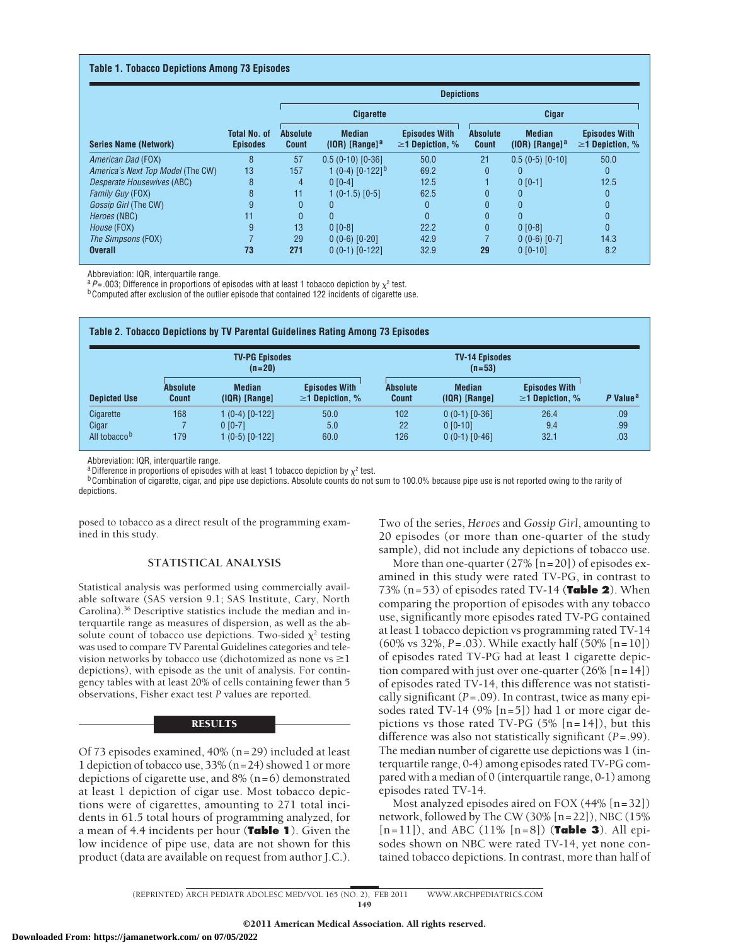#### **Table 1. Tobacco Depictions Among 73 Episodes**

|                                   |                                        | <b>Depictions</b>               |                                               |                                               |                                 |                                               |                                               |  |
|-----------------------------------|----------------------------------------|---------------------------------|-----------------------------------------------|-----------------------------------------------|---------------------------------|-----------------------------------------------|-----------------------------------------------|--|
| <b>Series Name (Network)</b>      | <b>Total No. of</b><br><b>Episodes</b> |                                 | <b>Cigarette</b>                              |                                               | Cigar                           |                                               |                                               |  |
|                                   |                                        | <b>Absolute</b><br><b>Count</b> | <b>Median</b><br>$(10R)$ [Range] <sup>a</sup> | <b>Episodes With</b><br>$\geq$ 1 Depiction, % | <b>Absolute</b><br><b>Count</b> | <b>Median</b><br>$(10R)$ [Range] <sup>a</sup> | <b>Episodes With</b><br>$\geq$ 1 Depiction, % |  |
| American Dad (FOX)                | 8                                      | 57                              | $0.5(0-10)[0-36]$                             | 50.0                                          | 21                              | $0.5(0-5)[0-10]$                              | 50.0                                          |  |
| America's Next Top Model (The CW) | 13                                     | 157                             | 1 (0-4) $[0-122]$ <sup>b</sup>                | 69.2                                          | $\mathbf{0}$                    |                                               | $\mathbf{0}$                                  |  |
| Desperate Housewives (ABC)        | 8                                      | 4                               | $0 [0-4]$                                     | 12.5                                          |                                 | $0 [0-1]$                                     | 12.5                                          |  |
| <b>Family Guy (FOX)</b>           | 8                                      | 11                              | $1(0-1.5)$ [0-5]                              | 62.5                                          | $\mathbf{0}$                    | 0                                             | $\mathbf{0}$                                  |  |
| Gossip Girl (The CW)              |                                        | $\mathbf{0}$                    |                                               | $\Omega$                                      | $\mathbf{0}$                    | O                                             |                                               |  |
| Heroes (NBC)                      | 11                                     | $\mathbf{0}$                    | 0                                             | $\mathbf{0}$                                  | $\mathbf{0}$                    |                                               | $\mathbf{0}$                                  |  |
| House (FOX)                       | 9                                      | 13                              | $0 [0-8]$                                     | 22.2                                          | $\mathbf{0}$                    | $0 [0-8]$                                     | $\mathbf{0}$                                  |  |
| The Simpsons (FOX)                |                                        | 29                              | $0(0-6)$ $[0-20]$                             | 42.9                                          |                                 | $0(0-6)[0-7]$                                 | 14.3                                          |  |
| <b>Overall</b>                    | 73                                     | 271                             | $0(0-1)$ $[0-122]$                            | 32.9                                          | 29                              | $0 [0-10]$                                    | 8.2                                           |  |

Abbreviation: IQR, interquartile range.

 $aP = .003$ ; Difference in proportions of episodes with at least 1 tobacco depiction by  $\chi^2$  test.

**bComputed after exclusion of the outlier episode that contained 122 incidents of cigarette use.** 

| <b>Depicted Use</b>                            |                                 | <b>TV-PG Episodes</b><br>$(n=20)$               |                                               |                                 |                                                   |                                               |                      |
|------------------------------------------------|---------------------------------|-------------------------------------------------|-----------------------------------------------|---------------------------------|---------------------------------------------------|-----------------------------------------------|----------------------|
|                                                | <b>Absolute</b><br><b>Count</b> | <b>Median</b><br>$(IQR)$ [Range]                | <b>Episodes With</b><br>$\geq$ 1 Depiction, % | <b>Absolute</b><br><b>Count</b> | <b>Median</b><br>$(IQR)$ [Range]                  | <b>Episodes With</b><br>$\geq$ 1 Depiction, % | P Value <sup>a</sup> |
| Cigarette<br>Cigar<br>All tobacco <sup>b</sup> | 168<br>179                      | 1 (0-4) [0-122]<br>$0 [0-7]$<br>1 (0-5) [0-122] | 50.0<br>5.0<br>60.0                           | 102<br>22<br>126                | $0(0-1)$ $[0-36]$<br>$0 [0-10]$<br>$0(0-1)[0-46]$ | 26.4<br>9.4<br>32.1                           | .09<br>.99<br>.03    |

Abbreviation: IQR, interquartile range.

<sup>a</sup> Difference in proportions of episodes with at least 1 tobacco depiction by  $\chi^2$  test.

<sup>b</sup>Combination of cigarette, cigar, and pipe use depictions. Absolute counts do not sum to 100.0% because pipe use is not reported owing to the rarity of depictions.

posed to tobacco as a direct result of the programming examined in this study.

# **STATISTICAL ANALYSIS**

Statistical analysis was performed using commercially available software (SAS version 9.1; SAS Institute, Cary, North Carolina).36 Descriptive statistics include the median and interquartile range as measures of dispersion, as well as the absolute count of tobacco use depictions. Two-sided  $\chi^2$  testing was used to compare TV Parental Guidelines categories and television networks by tobacco use (dichotomized as none vs  $\geq$  1 depictions), with episode as the unit of analysis. For contingency tables with at least 20% of cells containing fewer than 5 observations, Fisher exact test *P* values are reported.

#### RESULTS

Of 73 episodes examined, 40% (n=29) included at least 1 depiction of tobacco use, 33% (n=24) showed 1 or more depictions of cigarette use, and  $8\%$  (n=6) demonstrated at least 1 depiction of cigar use. Most tobacco depictions were of cigarettes, amounting to 271 total incidents in 61.5 total hours of programming analyzed, for a mean of 4.4 incidents per hour (**Table 1**). Given the low incidence of pipe use, data are not shown for this product (data are available on request from author J.C.). Two of the series, *Heroes* and *Gossip Girl*, amounting to 20 episodes (or more than one-quarter of the study sample), did not include any depictions of tobacco use.

More than one-quarter  $(27\% \; [n=20])$  of episodes examined in this study were rated TV-PG, in contrast to 73% (n=53) of episodes rated TV-14 (**Table 2**). When comparing the proportion of episodes with any tobacco use, significantly more episodes rated TV-PG contained at least 1 tobacco depiction vs programming rated TV-14 (60% vs 32%, *P*=.03). While exactly half (50% [n=10]) of episodes rated TV-PG had at least 1 cigarette depiction compared with just over one-quarter  $(26\% \; [n=14])$ of episodes rated TV-14, this difference was not statistically significant (*P*=.09). In contrast, twice as many episodes rated TV-14 (9%  $[n=5]$ ) had 1 or more cigar depictions vs those rated TV-PG  $(5\%$  [n=14]), but this difference was also not statistically significant (*P*=.99). The median number of cigarette use depictions was 1 (interquartile range, 0-4) among episodes rated TV-PG compared with a median of 0 (interquartile range, 0-1) among episodes rated TV-14.

Most analyzed episodes aired on FOX (44% [n=32]) network, followed by The CW (30% [n=22]), NBC (15% [n=11]), and ABC (11% [n=8]) (**Table 3**). All episodes shown on NBC were rated TV-14, yet none contained tobacco depictions. In contrast, more than half of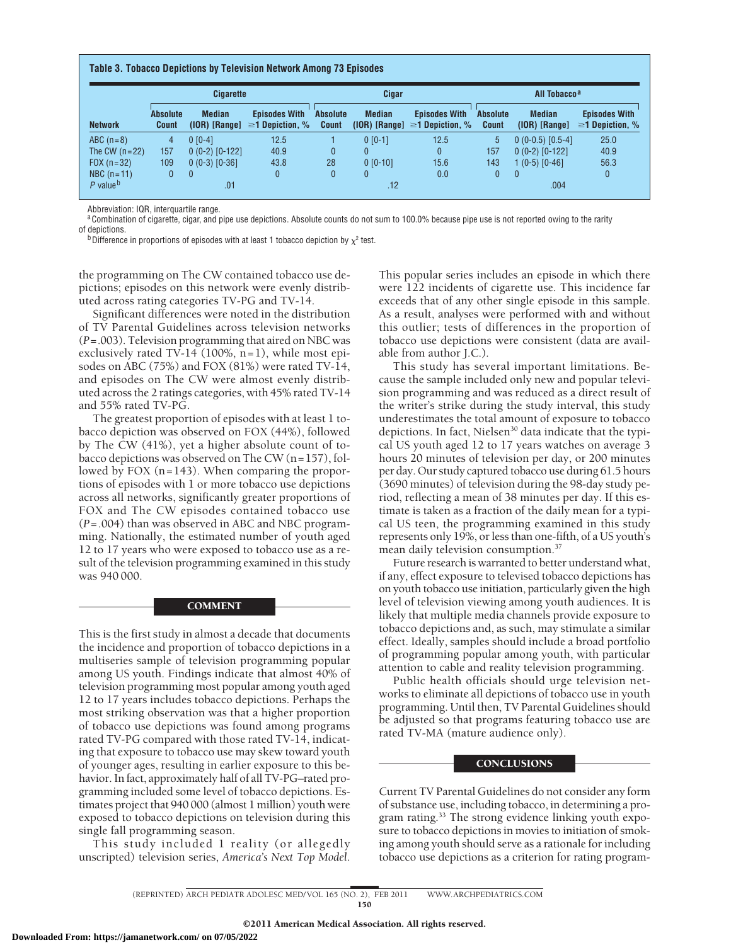| <b>Cigarette</b>       |                                 |                                  |                                               | Cigar                           |               |                                                             | All Tobacco <sup>a</sup>        |                                  |                                               |
|------------------------|---------------------------------|----------------------------------|-----------------------------------------------|---------------------------------|---------------|-------------------------------------------------------------|---------------------------------|----------------------------------|-----------------------------------------------|
| <b>Network</b>         | <b>Absolute</b><br><b>Count</b> | <b>Median</b><br>$(10R)$ [Range] | <b>Episodes With</b><br>$\geq$ 1 Depiction, % | <b>Absolute</b><br><b>Count</b> | <b>Median</b> | <b>Episodes With</b><br>(IOR) [Range] $\geq$ 1 Depiction, % | <b>Absolute</b><br><b>Count</b> | <b>Median</b><br>$(10R)$ [Range] | <b>Episodes With</b><br>$\geq$ 1 Depiction, % |
| $ABC(n=8)$             | 4                               | $0 [0-4]$                        | 12.5                                          |                                 | $0 [0-1]$     | 12.5                                                        | $5^{\circ}$                     | $0(0-0.5)$ $[0.5-4]$             | 25.0                                          |
| The CW $(n=22)$        | 157                             | $0(0-2)$ $[0-122]$               | 40.9                                          | $\mathbf{0}$                    | $\Omega$      | $\mathbf{0}$                                                | 157                             | $0(0-2)$ $[0-122]$               | 40.9                                          |
| $FOX (n = 32)$         | 109                             | $0(0-3)$ $[0-36]$                | 43.8                                          | 28                              | $0 [0-10]$    | 15.6                                                        | 143                             | $(0-5)$ $[0-46]$                 | 56.3                                          |
| $NBC(n=11)$            | $\overline{0}$                  | $\mathbf{0}$                     |                                               | $\mathbf{0}$                    | $\mathbf{0}$  | 0.0                                                         | $\Omega$                        | $\Omega$                         | 0                                             |
| P value $\overline{P}$ | .01                             |                                  |                                               | .12                             |               |                                                             | .004                            |                                  |                                               |

Abbreviation: IQR, interquartile range.

 $a^2$ Combination of cigarette, cigar, and pipe use depictions. Absolute counts do not sum to 100.0% because pipe use is not reported owing to the rarity of depictions. of depictions.<br><sup>b</sup>Difference in proportions of episodes with at least 1 tobacco depiction by  $\chi^2$  test.

the programming on The CW contained tobacco use depictions; episodes on this network were evenly distributed across rating categories TV-PG and TV-14.

Significant differences were noted in the distribution of TV Parental Guidelines across television networks (*P*=.003). Television programming that aired on NBC was exclusively rated TV-14 (100%, n=1), while most episodes on ABC (75%) and FOX (81%) were rated TV-14, and episodes on The CW were almost evenly distributed across the 2 ratings categories, with 45% rated TV-14 and 55% rated TV-PG.

The greatest proportion of episodes with at least 1 tobacco depiction was observed on FOX (44%), followed by The CW (41%), yet a higher absolute count of tobacco depictions was observed on The CW (n=157), followed by FOX (n=143). When comparing the proportions of episodes with 1 or more tobacco use depictions across all networks, significantly greater proportions of FOX and The CW episodes contained tobacco use (*P*=.004) than was observed in ABC and NBC programming. Nationally, the estimated number of youth aged 12 to 17 years who were exposed to tobacco use as a result of the television programming examined in this study was 940 000.

### **COMMENT**

This is the first study in almost a decade that documents the incidence and proportion of tobacco depictions in a multiseries sample of television programming popular among US youth. Findings indicate that almost 40% of television programming most popular among youth aged 12 to 17 years includes tobacco depictions. Perhaps the most striking observation was that a higher proportion of tobacco use depictions was found among programs rated TV-PG compared with those rated TV-14, indicating that exposure to tobacco use may skew toward youth of younger ages, resulting in earlier exposure to this behavior. In fact, approximately half of all TV-PG–rated programming included some level of tobacco depictions. Estimates project that 940 000 (almost 1 million) youth were exposed to tobacco depictions on television during this single fall programming season.

This study included 1 reality (or allegedly unscripted) television series, *America's Next Top Model*.

This popular series includes an episode in which there were 122 incidents of cigarette use. This incidence far exceeds that of any other single episode in this sample. As a result, analyses were performed with and without this outlier; tests of differences in the proportion of tobacco use depictions were consistent (data are available from author J.C.).

This study has several important limitations. Because the sample included only new and popular television programming and was reduced as a direct result of the writer's strike during the study interval, this study underestimates the total amount of exposure to tobacco depictions. In fact, Nielsen<sup>30</sup> data indicate that the typical US youth aged 12 to 17 years watches on average 3 hours 20 minutes of television per day, or 200 minutes per day. Our study captured tobacco use during 61.5 hours (3690 minutes) of television during the 98-day study period, reflecting a mean of 38 minutes per day. If this estimate is taken as a fraction of the daily mean for a typical US teen, the programming examined in this study represents only 19%, or less than one-fifth, of a US youth's mean daily television consumption.<sup>37</sup>

Future research is warranted to better understand what, if any, effect exposure to televised tobacco depictions has on youth tobacco use initiation, particularly given the high level of television viewing among youth audiences. It is likely that multiple media channels provide exposure to tobacco depictions and, as such, may stimulate a similar effect. Ideally, samples should include a broad portfolio of programming popular among youth, with particular attention to cable and reality television programming.

Public health officials should urge television networks to eliminate all depictions of tobacco use in youth programming. Until then, TV Parental Guidelines should be adjusted so that programs featuring tobacco use are rated TV-MA (mature audience only).

### **CONCLUSIONS**

Current TV Parental Guidelines do not consider any form of substance use, including tobacco, in determining a program rating.<sup>33</sup> The strong evidence linking youth exposure to tobacco depictions in movies to initiation of smoking among youth should serve as a rationale for including tobacco use depictions as a criterion for rating program-

(REPRINTED) ARCH PEDIATR ADOLESC MED/ VOL 165 (NO. 2), FEB 2011 WWW.ARCHPEDIATRICS.COM 150